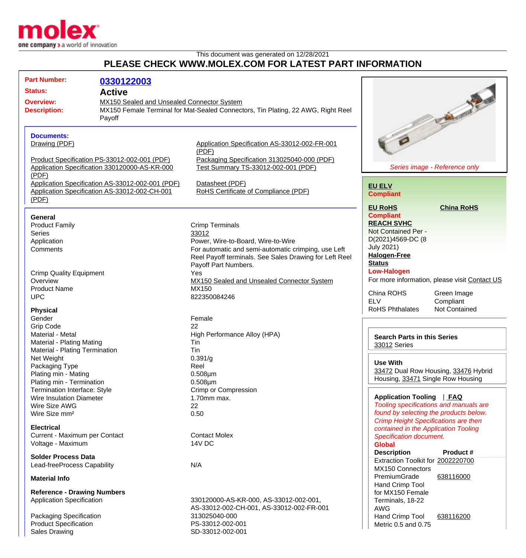

## This document was generated on 12/28/2021 **PLEASE CHECK WWW.MOLEX.COM FOR LATEST PART INFORMATION**

| <b>Part Number:</b>                                                                                           | 0330122003                                    |                                                                                                                                                                                                                |                                                                                                                                                                                       |  |
|---------------------------------------------------------------------------------------------------------------|-----------------------------------------------|----------------------------------------------------------------------------------------------------------------------------------------------------------------------------------------------------------------|---------------------------------------------------------------------------------------------------------------------------------------------------------------------------------------|--|
| <b>Status:</b>                                                                                                | <b>Active</b>                                 |                                                                                                                                                                                                                |                                                                                                                                                                                       |  |
| MX150 Sealed and Unsealed Connector System<br><b>Overview:</b><br><b>Description:</b><br>Payoff               |                                               | MX150 Female Terminal for Mat-Sealed Connectors, Tin Plating, 22 AWG, Right Reel                                                                                                                               | <b>Calgary of Calgary of</b>                                                                                                                                                          |  |
| <b>Documents:</b><br>Drawing (PDF)<br>Product Specification PS-33012-002-001 (PDF)                            |                                               | Application Specification AS-33012-002-FR-001<br>(PDF)<br>Packaging Specification 313025040-000 (PDF)                                                                                                          |                                                                                                                                                                                       |  |
| (PDF)                                                                                                         | Application Specification 330120000-AS-KR-000 | Test Summary TS-33012-002-001 (PDF)                                                                                                                                                                            | Series image - Reference only                                                                                                                                                         |  |
| Application Specification AS-33012-002-001 (PDF)<br>Application Specification AS-33012-002-CH-001<br>(PDF)    |                                               | Datasheet (PDF)<br>RoHS Certificate of Compliance (PDF)                                                                                                                                                        | <b>EU ELV</b><br><b>Compliant</b>                                                                                                                                                     |  |
| <b>General</b><br><b>Product Family</b><br><b>Series</b><br>Application<br>Comments                           |                                               | <b>Crimp Terminals</b><br>33012<br>Power, Wire-to-Board, Wire-to-Wire<br>For automatic and semi-automatic crimping, use Left<br>Reel Payoff terminals. See Sales Drawing for Left Reel<br>Payoff Part Numbers. | <b>China RoHS</b><br><b>EU RoHS</b><br><b>Compliant</b><br><b>REACH SVHC</b><br>Not Contained Per -<br>D(2021)4569-DC (8<br><b>July 2021)</b><br><b>Halogen-Free</b><br><b>Status</b> |  |
| <b>Crimp Quality Equipment</b><br>Overview<br><b>Product Name</b><br><b>UPC</b>                               |                                               | Yes<br>MX150 Sealed and Unsealed Connector System<br>MX150<br>822350084246                                                                                                                                     | <b>Low-Halogen</b><br>For more information, please visit Contact US<br>China ROHS<br>Green Image<br><b>ELV</b><br>Compliant                                                           |  |
| <b>Physical</b>                                                                                               |                                               |                                                                                                                                                                                                                | <b>RoHS Phthalates</b><br><b>Not Contained</b>                                                                                                                                        |  |
| Gender<br><b>Grip Code</b>                                                                                    |                                               | Female<br>22                                                                                                                                                                                                   |                                                                                                                                                                                       |  |
| Material - Metal<br>Material - Plating Mating<br>Material - Plating Termination                               |                                               | High Performance Alloy (HPA)<br>Tin<br>Tin                                                                                                                                                                     | <b>Search Parts in this Series</b><br>33012 Series                                                                                                                                    |  |
| Net Weight<br>Packaging Type<br>Plating min - Mating<br>Plating min - Termination                             |                                               | 0.391/g<br>Reel<br>$0.508 \mu m$<br>$0.508 \mu m$                                                                                                                                                              | <b>Use With</b><br>33472 Dual Row Housing, 33476 Hybrid<br>Housing, 33471 Single Row Housing                                                                                          |  |
| Termination Interface: Style<br><b>Wire Insulation Diameter</b><br>Wire Size AWG<br>Wire Size mm <sup>2</sup> |                                               | Crimp or Compression<br>1.70mm max.<br>22<br>0.50                                                                                                                                                              | Application Tooling   FAQ<br>Tooling specifications and manuals are<br>found by selecting the products below.                                                                         |  |
| <b>Electrical</b><br>Current - Maximum per Contact<br>Voltage - Maximum                                       |                                               | <b>Contact Molex</b><br>14V DC                                                                                                                                                                                 | <b>Crimp Height Specifications are then</b><br>contained in the Application Tooling<br>Specification document.<br><b>Global</b>                                                       |  |
| <b>Solder Process Data</b><br>Lead-freeProcess Capability                                                     |                                               | N/A                                                                                                                                                                                                            | <b>Description</b><br><b>Product #</b><br>Extraction Toolkit for 2002220700<br>MX150 Connectors                                                                                       |  |
| <b>Material Info</b>                                                                                          |                                               |                                                                                                                                                                                                                | PremiumGrade<br>638116000<br>Hand Crimp Tool                                                                                                                                          |  |
| <b>Reference - Drawing Numbers</b><br>Application Specification                                               |                                               | 330120000-AS-KR-000, AS-33012-002-001,<br>AS-33012-002-CH-001, AS-33012-002-FR-001                                                                                                                             | for MX150 Female<br>Terminals, 18-22<br><b>AWG</b>                                                                                                                                    |  |
| Packaging Specification<br><b>Product Specification</b><br><b>Sales Drawing</b>                               |                                               | 313025040-000<br>PS-33012-002-001<br>SD-33012-002-001                                                                                                                                                          | Hand Crimp Tool<br>638116200<br>Metric 0.5 and 0.75                                                                                                                                   |  |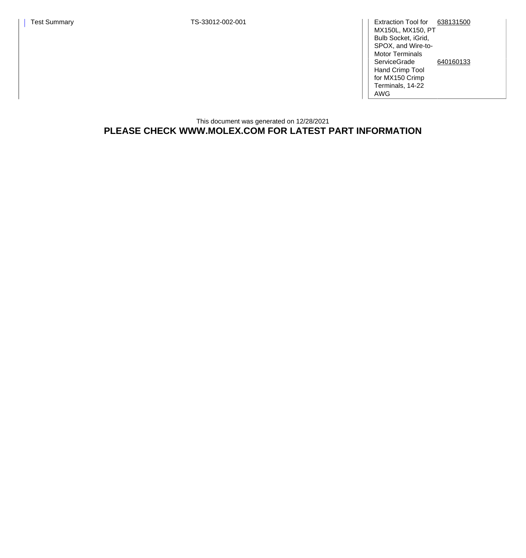Test Summary Test Summary TS-33012-002-001

MX150L, MX150, PT Bulb Socket, iGrid, SPOX, and Wire-to-Motor Terminals Extraction Tool for [638131500](http://www.molex.com/molex/products/datasheet.jsp?part=active/0638131500_APPLICATION_TOOLIN.xml) **ServiceGrade** Hand Crimp Tool for MX150 Crimp Terminals, 14-22 AWG [640160133](http://www.molex.com/molex/products/datasheet.jsp?part=active/0640160133_APPLICATION_TOOLIN.xml)

This document was generated on 12/28/2021 **PLEASE CHECK WWW.MOLEX.COM FOR LATEST PART INFORMATION**